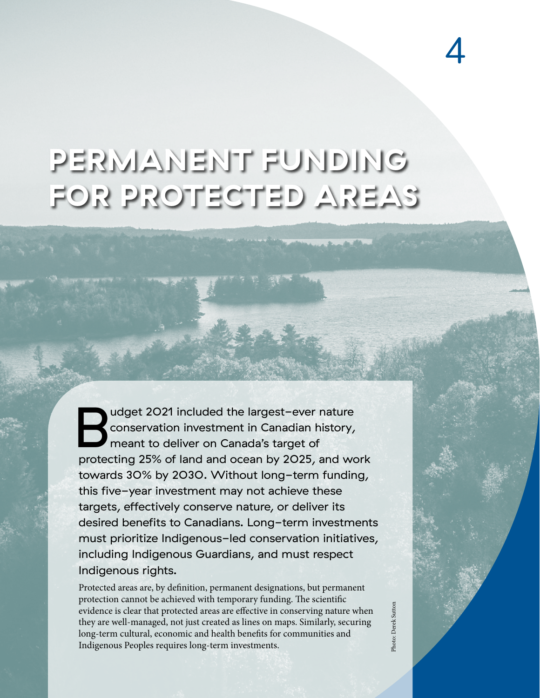## **PERMANENT FUNDING FOR PROTECTED AREAS**

udget 2021 included the largest-ever nature<br>conservation investment in Canadian history,<br>meant to deliver on Canada's target of<br>protecting 25% of land and ocean by 2025, and we conservation investment in Canadian history, meant to deliver on Canada's target of protecting 25% of land and ocean by 2025, and work towards 30% by 2030. Without long-term funding, this five-year investment may not achieve these targets, effectively conserve nature, or deliver its desired benefits to Canadians. Long-term investments must prioritize Indigenous-led conservation initiatives, including Indigenous Guardians, and must respect Indigenous rights.

Protected areas are, by definition, permanent designations, but permanent protection cannot be achieved with temporary funding. The scientific evidence is clear that protected areas are effective in conserving nature when they are well-managed, not just created as lines on maps. Similarly, securing long-term cultural, economic and health benefits for communities and Indigenous Peoples requires long-term investments.

Photo: Derek SuttonPhoto: Derek Suttor